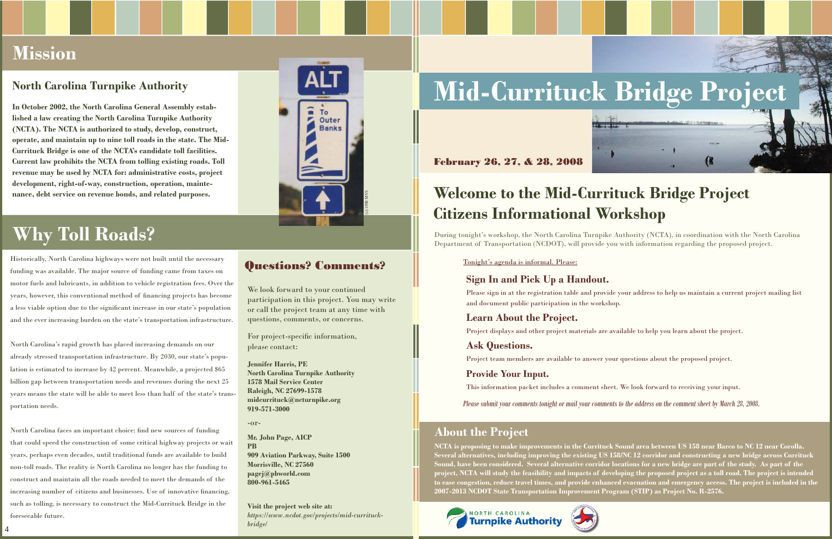#### **Sign In and Pick Up a Handout.**

 Please sign in at the registration table and provide your address to help us maintain a current project mailing list and document public participation in the workshop.

#### **Learn About the Project.**

Project displays and other project materials are available to help you learn about the project.

#### **Ask Questions.**

Project team members are available to answer your questions about the proposed project.

#### **Provide Your Input.**

This information packet includes a comment sheet. We look forward to receiving your input.

*Please submit your comments tonight or mail your comments to the address on the comment sheet by March 28, 2008.*

We look forward to your continued participation in this project. You may write or call the project team at any time with questions, comments, or concerns.

For project-specific information, please contact:

**Jennifer Harris, PE North Carolina Turnpike Authority1578 Mail Service Center Raleigh, NC 27699-1578 midcurrituck@ncturnpike.org919-571-3000**

-or-

**Mr. John Page, AICPPB 909 Aviation Parkway, Suite 1500 Morrisville, NC 27560 pagej@pbworld.com800-961-5465**

**Visit the project web site at:***https://www.ncdot.gov/projects/mid-currituckbridge/*

# North Carolina Turnpike Authority<br>
In October 2002, the North Carolina General Assembly estab-<br> **In October 2002**, the North Carolina General Assembly estab-



#### **About the Project**

**NCTA is proposing to make improvements in the Currituck Sound area between US 158 near Barco to NC 12 near Corolla. Several alternatives, including improving the existing US 158/NC 12 corridor and constructing a new bridge across Currituck Sound, have been considered. Several alternative corridor locations for a new bridge are part of the study. As part of the project, NCTA will study the feasibility and impacts of developing the proposed project as a toll road. The project is intended to ease congestion, reduce travel times, and provide enhanced evacuation and emergency access. The project is included in the 2007-2013 NCDOT State Transportation Improvement Program (STIP) as Project No. R-2576.**





### **Welcome to the Mid-Currituck Bridge Project Citizens Informational Workshop**

North Carolina faces an important choice: find new sources of funding that could speed the construction of some critical highway projects or wait years, perhaps even decades, until traditional funds are available to build non-toll roads. The reality is North Carolina no longer has the funding to construct and maintain all the roads needed to meet the demands of the increasing number of citizens and businesses. Use of innovative financing, such as tolling, is necessary to construct the Mid-Currituck Bridge in the foreseeable future.

**lished a law creating the North Carolina Turnpike Authority (NCTA). The NCTA is authorized to study, develop, construct, operate, and maintain up to nine toll roads in the state. The Mid-Currituck Bridge is one of the NCTA's candidate toll facilities. Current law prohibits the NCTA from tolling existing roads. Toll revenue may be used by NCTA for: administrative costs, project development, right-of-way, construction, operation, maintenance, debt service on revenue bonds, and related purposes.**

Historically, North Carolina highways were not built until the necessary funding was available. The major source of funding came from taxes on motor fuels and lubricants, in addition to vehicle registration fees. Over the years, however, this conventional method of fi nancing projects has become a less viable option due to the significant increase in our state's population and the ever increasing burden on the state's transportation infrastructure.

North Carolina's rapid growth has placed increasing demands on our already stressed transportation infrastructure. By 2030, our state's population is estimated to increase by 42 percent. Meanwhile, a projected \$65 billion gap between transportation needs and revenues during the next 25 years means the state will be able to meet less than half of the state's transportation needs.

### **Mission**

### **Why Toll Roads?**



### **Questions? Comments?**  $\Box$  Tonight's agenda is informal. Please:

During tonight's workshop, the North Carolina Turnpike Authority (NCTA), in coordination with the North Carolina Department of Transportation (NCDOT), will provide you with information regarding the proposed project.

February 26, 27, & 28, 2008